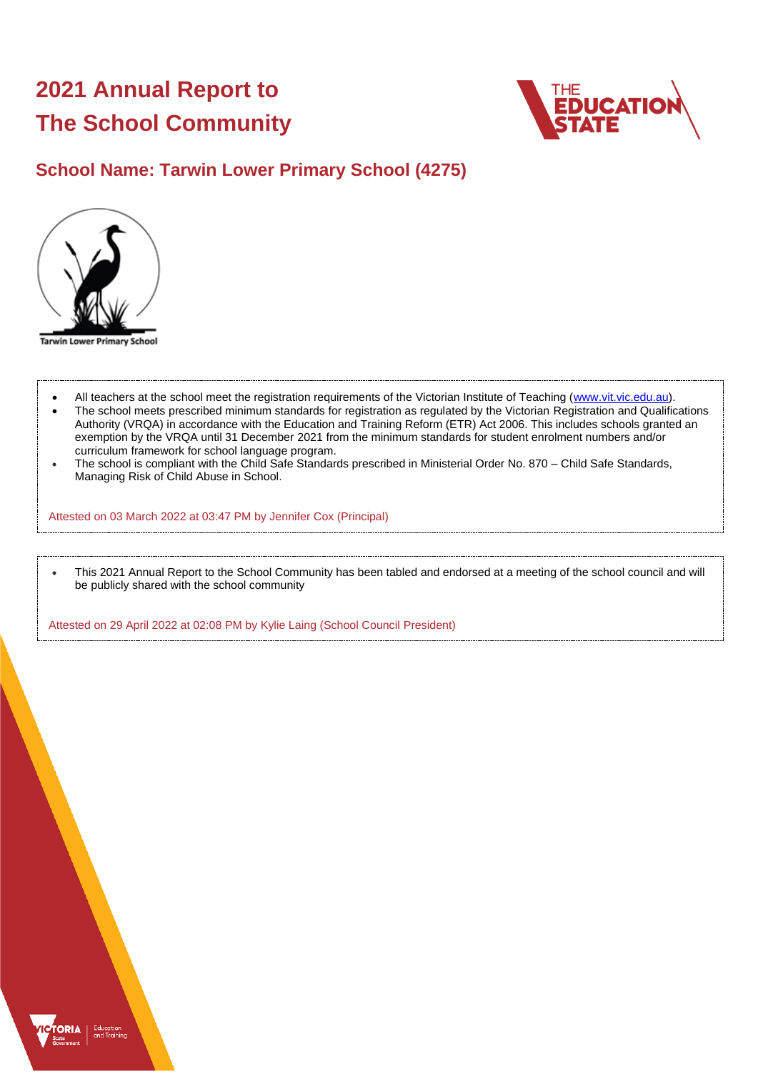# **2021 Annual Report to The School Community**



## **School Name: Tarwin Lower Primary School (4275)**



**Tarwin Lower Primary School** 

- All teachers at the school meet the registration requirements of the Victorian Institute of Teaching [\(www.vit.vic.edu.au\)](https://www.vit.vic.edu.au/).
- The school meets prescribed minimum standards for registration as regulated by the Victorian Registration and Qualifications Authority (VRQA) in accordance with the Education and Training Reform (ETR) Act 2006. This includes schools granted an exemption by the VRQA until 31 December 2021 from the minimum standards for student enrolment numbers and/or curriculum framework for school language program.
- The school is compliant with the Child Safe Standards prescribed in Ministerial Order No. 870 Child Safe Standards, Managing Risk of Child Abuse in School.

Attested on 03 March 2022 at 03:47 PM by Jennifer Cox (Principal)

• This 2021 Annual Report to the School Community has been tabled and endorsed at a meeting of the school council and will be publicly shared with the school community

Attested on 29 April 2022 at 02:08 PM by Kylie Laing (School Council President)

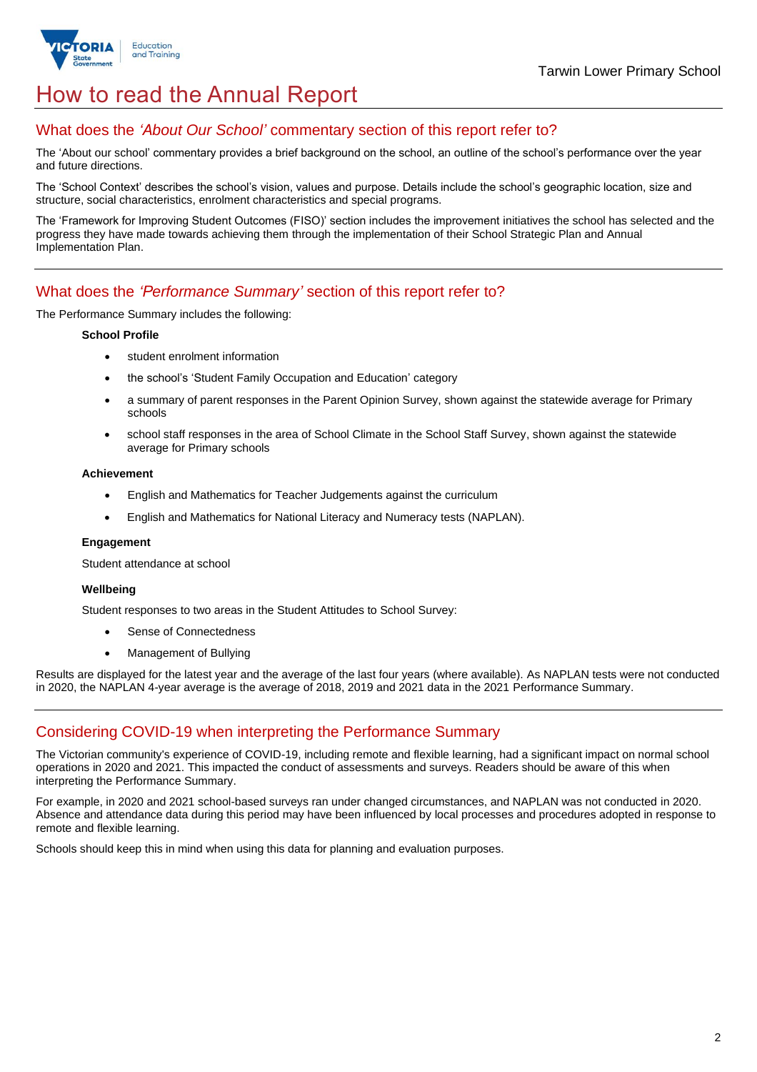

## How to read the Annual Report

### What does the *'About Our School'* commentary section of this report refer to?

The 'About our school' commentary provides a brief background on the school, an outline of the school's performance over the year and future directions.

The 'School Context' describes the school's vision, values and purpose. Details include the school's geographic location, size and structure, social characteristics, enrolment characteristics and special programs.

The 'Framework for Improving Student Outcomes (FISO)' section includes the improvement initiatives the school has selected and the progress they have made towards achieving them through the implementation of their School Strategic Plan and Annual Implementation Plan.

### What does the *'Performance Summary'* section of this report refer to?

The Performance Summary includes the following:

#### **School Profile**

- student enrolment information
- the school's 'Student Family Occupation and Education' category
- a summary of parent responses in the Parent Opinion Survey, shown against the statewide average for Primary schools
- school staff responses in the area of School Climate in the School Staff Survey, shown against the statewide average for Primary schools

#### **Achievement**

- English and Mathematics for Teacher Judgements against the curriculum
- English and Mathematics for National Literacy and Numeracy tests (NAPLAN).

#### **Engagement**

Student attendance at school

#### **Wellbeing**

Student responses to two areas in the Student Attitudes to School Survey:

- Sense of Connectedness
- Management of Bullying

Results are displayed for the latest year and the average of the last four years (where available). As NAPLAN tests were not conducted in 2020, the NAPLAN 4-year average is the average of 2018, 2019 and 2021 data in the 2021 Performance Summary.

## Considering COVID-19 when interpreting the Performance Summary

The Victorian community's experience of COVID-19, including remote and flexible learning, had a significant impact on normal school operations in 2020 and 2021. This impacted the conduct of assessments and surveys. Readers should be aware of this when interpreting the Performance Summary.

For example, in 2020 and 2021 school-based surveys ran under changed circumstances, and NAPLAN was not conducted in 2020. Absence and attendance data during this period may have been influenced by local processes and procedures adopted in response to remote and flexible learning.

Schools should keep this in mind when using this data for planning and evaluation purposes.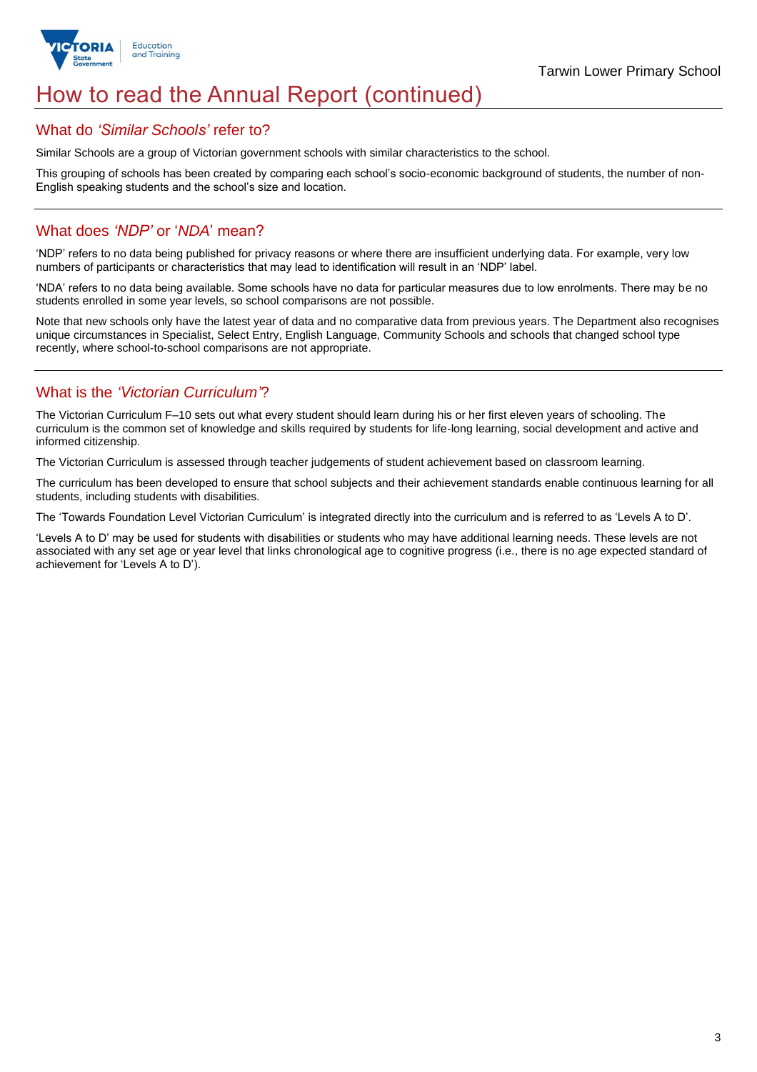

## How to read the Annual Report (continued)

### What do *'Similar Schools'* refer to?

Similar Schools are a group of Victorian government schools with similar characteristics to the school.

This grouping of schools has been created by comparing each school's socio-economic background of students, the number of non-English speaking students and the school's size and location.

## What does *'NDP'* or '*NDA*' mean?

'NDP' refers to no data being published for privacy reasons or where there are insufficient underlying data. For example, very low numbers of participants or characteristics that may lead to identification will result in an 'NDP' label.

'NDA' refers to no data being available. Some schools have no data for particular measures due to low enrolments. There may be no students enrolled in some year levels, so school comparisons are not possible.

Note that new schools only have the latest year of data and no comparative data from previous years. The Department also recognises unique circumstances in Specialist, Select Entry, English Language, Community Schools and schools that changed school type recently, where school-to-school comparisons are not appropriate.

## What is the *'Victorian Curriculum'*?

The Victorian Curriculum F–10 sets out what every student should learn during his or her first eleven years of schooling. The curriculum is the common set of knowledge and skills required by students for life-long learning, social development and active and informed citizenship.

The Victorian Curriculum is assessed through teacher judgements of student achievement based on classroom learning.

The curriculum has been developed to ensure that school subjects and their achievement standards enable continuous learning for all students, including students with disabilities.

The 'Towards Foundation Level Victorian Curriculum' is integrated directly into the curriculum and is referred to as 'Levels A to D'.

'Levels A to D' may be used for students with disabilities or students who may have additional learning needs. These levels are not associated with any set age or year level that links chronological age to cognitive progress (i.e., there is no age expected standard of achievement for 'Levels A to D').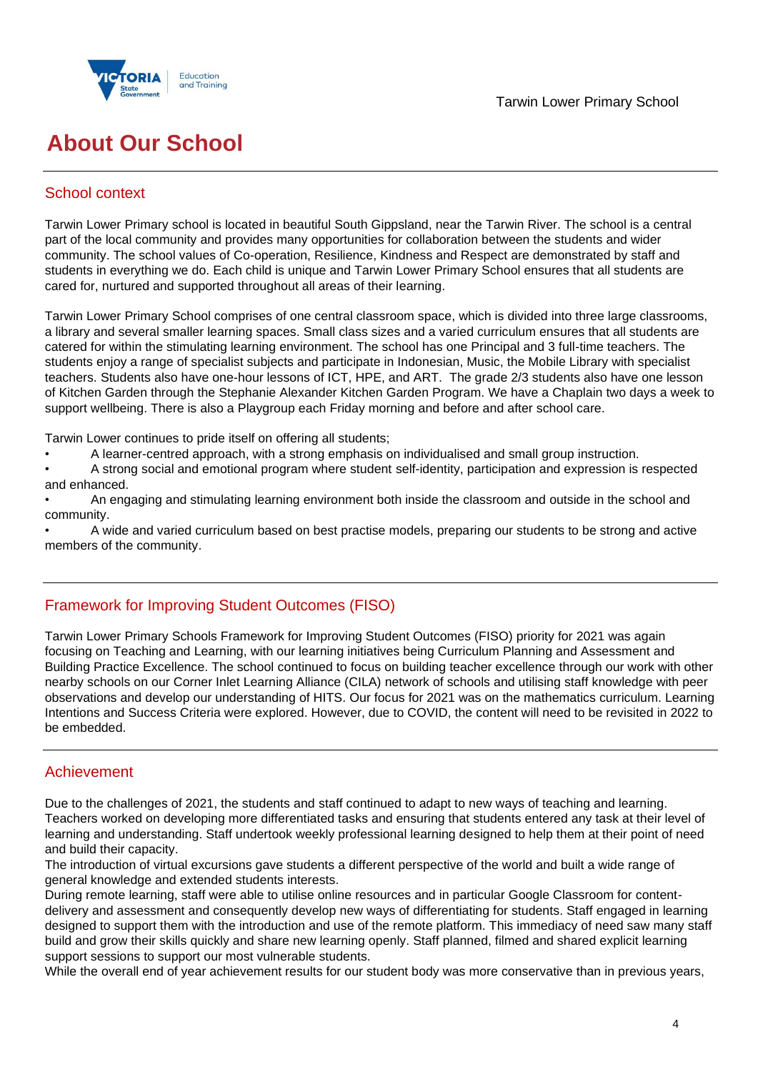



## **About Our School**

## School context

Tarwin Lower Primary school is located in beautiful South Gippsland, near the Tarwin River. The school is a central part of the local community and provides many opportunities for collaboration between the students and wider community. The school values of Co-operation, Resilience, Kindness and Respect are demonstrated by staff and students in everything we do. Each child is unique and Tarwin Lower Primary School ensures that all students are cared for, nurtured and supported throughout all areas of their learning.

Tarwin Lower Primary School comprises of one central classroom space, which is divided into three large classrooms, a library and several smaller learning spaces. Small class sizes and a varied curriculum ensures that all students are catered for within the stimulating learning environment. The school has one Principal and 3 full-time teachers. The students enjoy a range of specialist subjects and participate in Indonesian, Music, the Mobile Library with specialist teachers. Students also have one-hour lessons of ICT, HPE, and ART. The grade 2/3 students also have one lesson of Kitchen Garden through the Stephanie Alexander Kitchen Garden Program. We have a Chaplain two days a week to support wellbeing. There is also a Playgroup each Friday morning and before and after school care.

Tarwin Lower continues to pride itself on offering all students;

- A learner-centred approach, with a strong emphasis on individualised and small group instruction.
- A strong social and emotional program where student self-identity, participation and expression is respected and enhanced.
- An engaging and stimulating learning environment both inside the classroom and outside in the school and community.

• A wide and varied curriculum based on best practise models, preparing our students to be strong and active members of the community.

## Framework for Improving Student Outcomes (FISO)

Tarwin Lower Primary Schools Framework for Improving Student Outcomes (FISO) priority for 2021 was again focusing on Teaching and Learning, with our learning initiatives being Curriculum Planning and Assessment and Building Practice Excellence. The school continued to focus on building teacher excellence through our work with other nearby schools on our Corner Inlet Learning Alliance (CILA) network of schools and utilising staff knowledge with peer observations and develop our understanding of HITS. Our focus for 2021 was on the mathematics curriculum. Learning Intentions and Success Criteria were explored. However, due to COVID, the content will need to be revisited in 2022 to be embedded.

## Achievement

Due to the challenges of 2021, the students and staff continued to adapt to new ways of teaching and learning. Teachers worked on developing more differentiated tasks and ensuring that students entered any task at their level of learning and understanding. Staff undertook weekly professional learning designed to help them at their point of need and build their capacity.

The introduction of virtual excursions gave students a different perspective of the world and built a wide range of general knowledge and extended students interests.

During remote learning, staff were able to utilise online resources and in particular Google Classroom for contentdelivery and assessment and consequently develop new ways of differentiating for students. Staff engaged in learning designed to support them with the introduction and use of the remote platform. This immediacy of need saw many staff build and grow their skills quickly and share new learning openly. Staff planned, filmed and shared explicit learning support sessions to support our most vulnerable students.

While the overall end of year achievement results for our student body was more conservative than in previous years,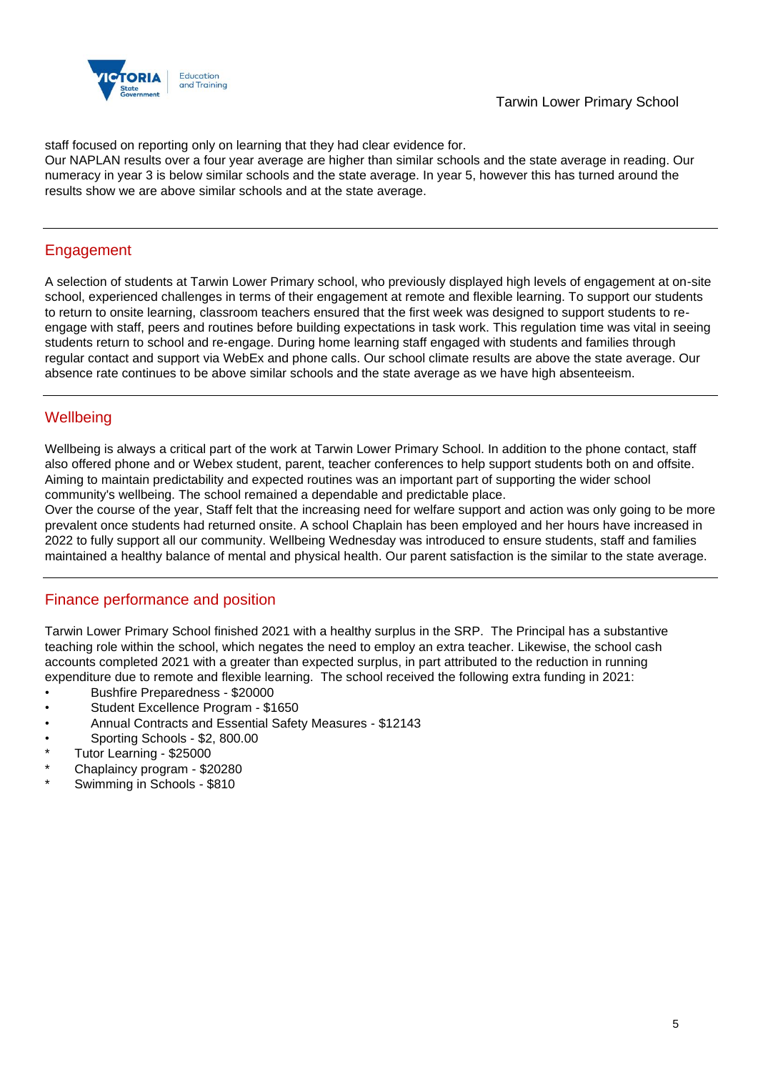

staff focused on reporting only on learning that they had clear evidence for.

Our NAPLAN results over a four year average are higher than similar schools and the state average in reading. Our numeracy in year 3 is below similar schools and the state average. In year 5, however this has turned around the results show we are above similar schools and at the state average.

## Engagement

A selection of students at Tarwin Lower Primary school, who previously displayed high levels of engagement at on-site school, experienced challenges in terms of their engagement at remote and flexible learning. To support our students to return to onsite learning, classroom teachers ensured that the first week was designed to support students to reengage with staff, peers and routines before building expectations in task work. This regulation time was vital in seeing students return to school and re-engage. During home learning staff engaged with students and families through regular contact and support via WebEx and phone calls. Our school climate results are above the state average. Our absence rate continues to be above similar schools and the state average as we have high absenteeism.

## **Wellbeing**

Wellbeing is always a critical part of the work at Tarwin Lower Primary School. In addition to the phone contact, staff also offered phone and or Webex student, parent, teacher conferences to help support students both on and offsite. Aiming to maintain predictability and expected routines was an important part of supporting the wider school community's wellbeing. The school remained a dependable and predictable place.

Over the course of the year, Staff felt that the increasing need for welfare support and action was only going to be more prevalent once students had returned onsite. A school Chaplain has been employed and her hours have increased in 2022 to fully support all our community. Wellbeing Wednesday was introduced to ensure students, staff and families maintained a healthy balance of mental and physical health. Our parent satisfaction is the similar to the state average.

## Finance performance and position

Tarwin Lower Primary School finished 2021 with a healthy surplus in the SRP. The Principal has a substantive teaching role within the school, which negates the need to employ an extra teacher. Likewise, the school cash accounts completed 2021 with a greater than expected surplus, in part attributed to the reduction in running expenditure due to remote and flexible learning. The school received the following extra funding in 2021:

- Bushfire Preparedness \$20000
- Student Excellence Program \$1650
- Annual Contracts and Essential Safety Measures \$12143
- Sporting Schools \$2, 800.00
- Tutor Learning \$25000
- Chaplaincy program \$20280
- Swimming in Schools \$810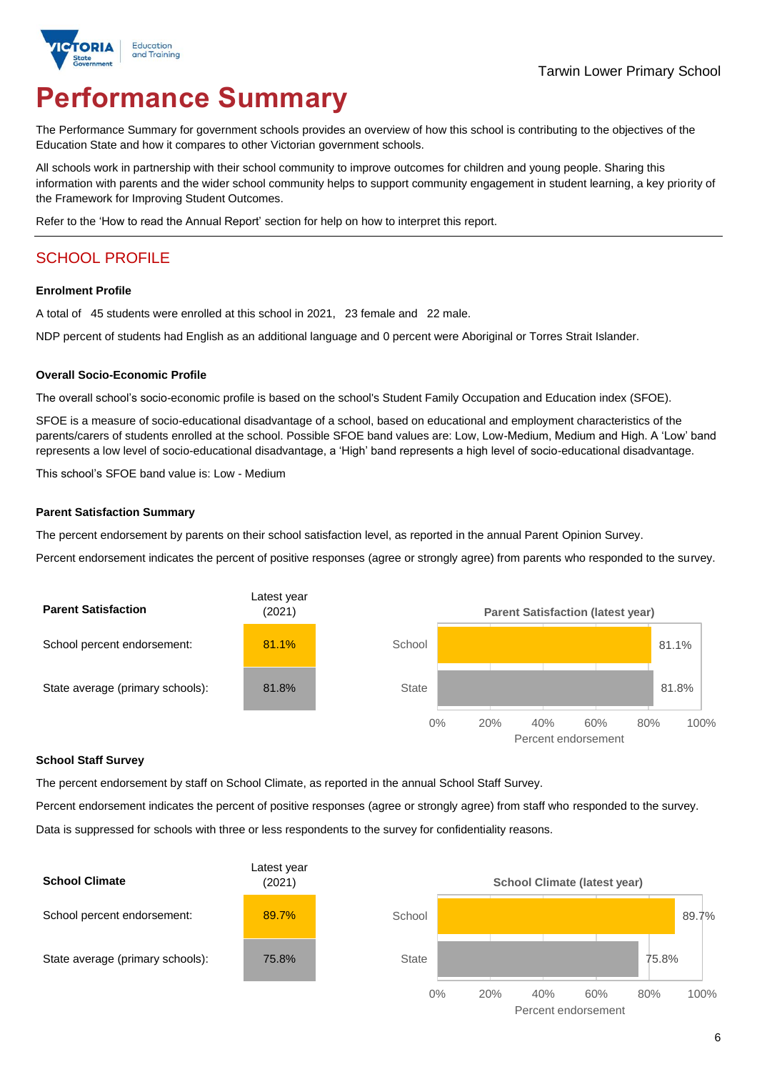

# **Performance Summary**

The Performance Summary for government schools provides an overview of how this school is contributing to the objectives of the Education State and how it compares to other Victorian government schools.

All schools work in partnership with their school community to improve outcomes for children and young people. Sharing this information with parents and the wider school community helps to support community engagement in student learning, a key priority of the Framework for Improving Student Outcomes.

Refer to the 'How to read the Annual Report' section for help on how to interpret this report.

## SCHOOL PROFILE

#### **Enrolment Profile**

A total of 45 students were enrolled at this school in 2021, 23 female and 22 male.

NDP percent of students had English as an additional language and 0 percent were Aboriginal or Torres Strait Islander.

#### **Overall Socio-Economic Profile**

The overall school's socio-economic profile is based on the school's Student Family Occupation and Education index (SFOE).

SFOE is a measure of socio-educational disadvantage of a school, based on educational and employment characteristics of the parents/carers of students enrolled at the school. Possible SFOE band values are: Low, Low-Medium, Medium and High. A 'Low' band represents a low level of socio-educational disadvantage, a 'High' band represents a high level of socio-educational disadvantage.

This school's SFOE band value is: Low - Medium

#### **Parent Satisfaction Summary**

The percent endorsement by parents on their school satisfaction level, as reported in the annual Parent Opinion Survey.

Percent endorsement indicates the percent of positive responses (agree or strongly agree) from parents who responded to the survey.



#### **School Staff Survey**

The percent endorsement by staff on School Climate, as reported in the annual School Staff Survey.

Percent endorsement indicates the percent of positive responses (agree or strongly agree) from staff who responded to the survey.

Data is suppressed for schools with three or less respondents to the survey for confidentiality reasons.

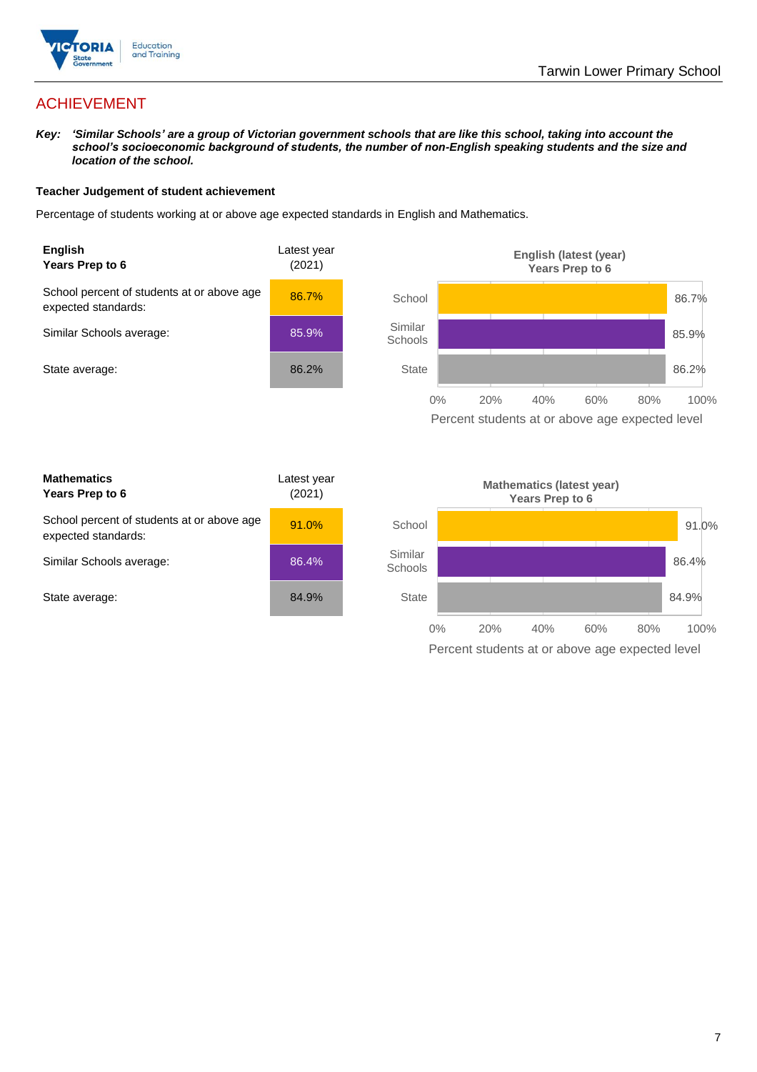

## ACHIEVEMENT

*Key: 'Similar Schools' are a group of Victorian government schools that are like this school, taking into account the school's socioeconomic background of students, the number of non-English speaking students and the size and location of the school.*

#### **Teacher Judgement of student achievement**

Percentage of students working at or above age expected standards in English and Mathematics.



Percent students at or above age expected level

| <b>Mathematics</b><br>Years Prep to 6                             | Latest year<br>(2021) |
|-------------------------------------------------------------------|-----------------------|
| School percent of students at or above age<br>expected standards: | 91.0%                 |
| Similar Schools average:                                          | 86.4%                 |
| State average:                                                    | 84.9%                 |

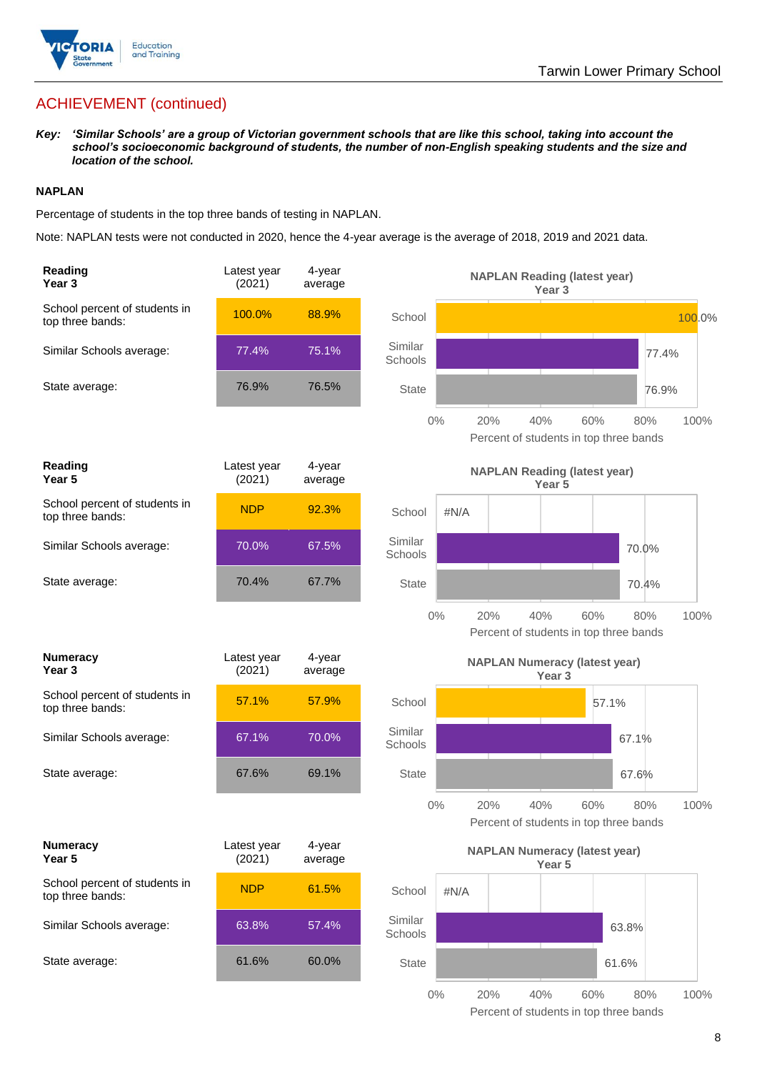

## ACHIEVEMENT (continued)

*Key: 'Similar Schools' are a group of Victorian government schools that are like this school, taking into account the school's socioeconomic background of students, the number of non-English speaking students and the size and location of the school.*

#### **NAPLAN**

Percentage of students in the top three bands of testing in NAPLAN.

Note: NAPLAN tests were not conducted in 2020, hence the 4-year average is the average of 2018, 2019 and 2021 data.

| Reading<br>Year <sub>3</sub>                      | Latest year<br>(2021) | 4-year<br>average |                    |      | <b>NAPLAN Reading (latest year)</b>  | Year <sub>3</sub> |       |                                               |        |
|---------------------------------------------------|-----------------------|-------------------|--------------------|------|--------------------------------------|-------------------|-------|-----------------------------------------------|--------|
| School percent of students in<br>top three bands: | 100.0%                | 88.9%             | School             |      |                                      |                   |       |                                               | 100.0% |
| Similar Schools average:                          | 77.4%                 | 75.1%             | Similar<br>Schools |      |                                      |                   |       | 77.4%                                         |        |
| State average:                                    | 76.9%                 | 76.5%             | <b>State</b>       |      |                                      |                   |       | 76.9%                                         |        |
|                                                   |                       |                   | $0\%$              |      | 20%                                  | 40%               | 60%   | 80%<br>Percent of students in top three bands | 100%   |
| Reading<br>Year 5                                 | Latest year<br>(2021) | 4-year<br>average |                    |      | <b>NAPLAN Reading (latest year)</b>  | Year <sub>5</sub> |       |                                               |        |
| School percent of students in<br>top three bands: | <b>NDP</b>            | 92.3%             | School             | #N/A |                                      |                   |       |                                               |        |
| Similar Schools average:                          | 70.0%                 | 67.5%             | Similar<br>Schools |      |                                      |                   |       | 70.0%                                         |        |
| State average:                                    | 70.4%                 | 67.7%             | <b>State</b>       |      |                                      |                   |       | 70.4%                                         |        |
|                                                   |                       |                   | $0\%$              |      | 20%                                  | 40%               | 60%   | 80%<br>Percent of students in top three bands | 100%   |
|                                                   |                       |                   |                    |      |                                      |                   |       |                                               |        |
| <b>Numeracy</b><br>Year <sub>3</sub>              | Latest year<br>(2021) | 4-year<br>average |                    |      | <b>NAPLAN Numeracy (latest year)</b> | Year <sub>3</sub> |       |                                               |        |
| School percent of students in<br>top three bands: | 57.1%                 | 57.9%             | School             |      |                                      |                   | 57.1% |                                               |        |
| Similar Schools average:                          | 67.1%                 | 70.0%             | Similar<br>Schools |      |                                      |                   |       | 67.1%                                         |        |
| State average:                                    | 67.6%                 | 69.1%             | <b>State</b>       |      |                                      |                   |       | 67.6%                                         |        |
|                                                   |                       |                   | $0\%$              |      | 20%                                  | 40%               | 60%   | 80%<br>Percent of students in top three bands | 100%   |
| <b>Numeracy</b><br>Year 5                         | Latest year<br>(2021) | 4-year<br>average |                    |      | <b>NAPLAN Numeracy (latest year)</b> | Year 5            |       |                                               |        |
| School percent of students in<br>top three bands: | <b>NDP</b>            | 61.5%             | School             | #N/A |                                      |                   |       |                                               |        |
| Similar Schools average:                          | 63.8%                 | 57.4%             | Similar<br>Schools |      |                                      |                   |       | 63.8%                                         |        |
| State average:                                    | 61.6%                 | 60.0%             | <b>State</b>       |      |                                      |                   |       | 61.6%                                         |        |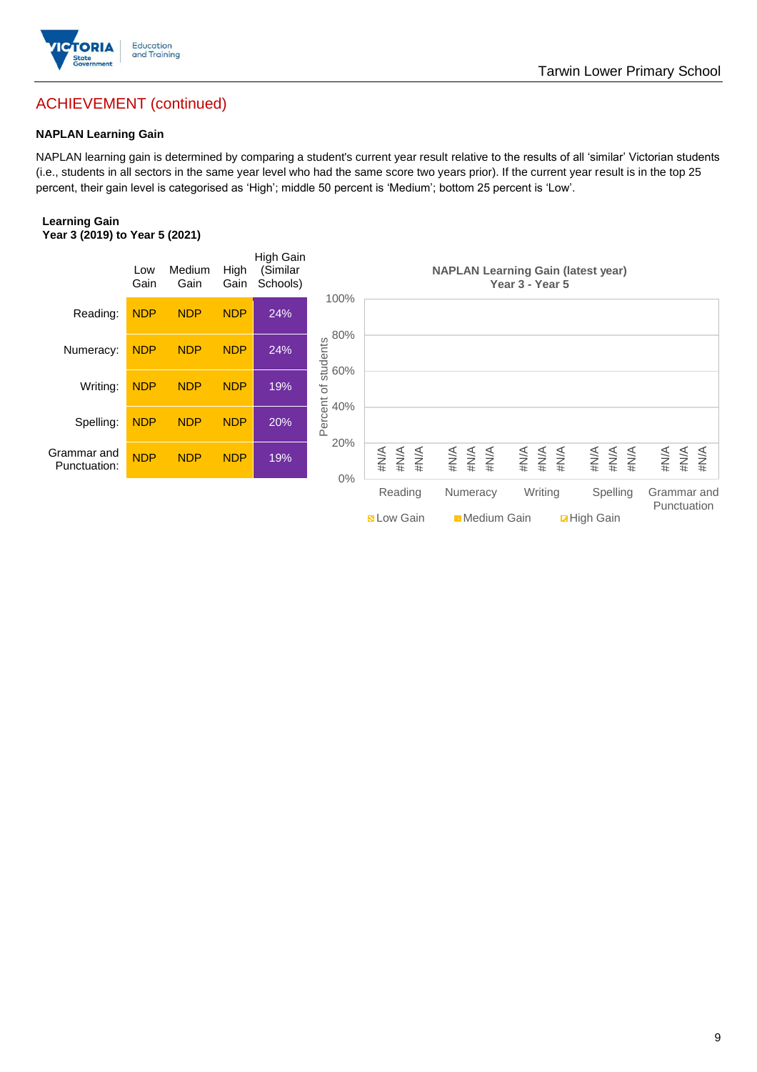

## ACHIEVEMENT (continued)

#### **NAPLAN Learning Gain**

NAPLAN learning gain is determined by comparing a student's current year result relative to the results of all 'similar' Victorian students (i.e., students in all sectors in the same year level who had the same score two years prior). If the current year result is in the top 25 percent, their gain level is categorised as 'High'; middle 50 percent is 'Medium'; bottom 25 percent is 'Low'.

#### **Learning Gain Year 3 (2019) to Year 5 (2021)**

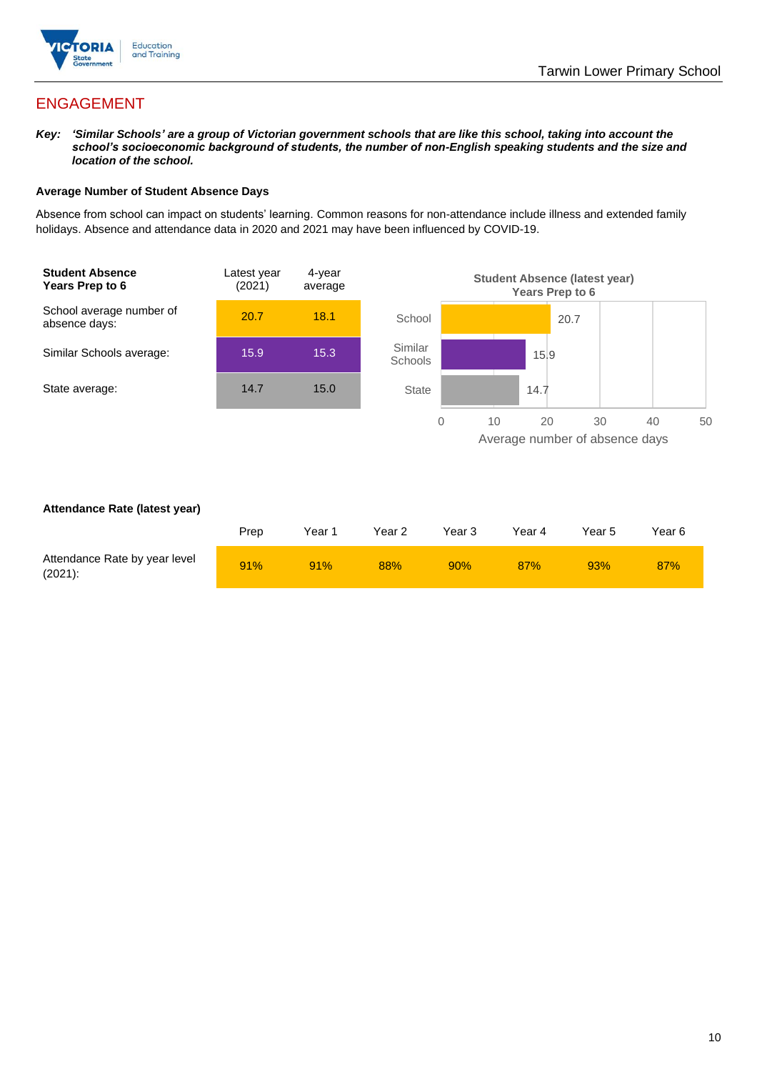

## ENGAGEMENT

*Key: 'Similar Schools' are a group of Victorian government schools that are like this school, taking into account the school's socioeconomic background of students, the number of non-English speaking students and the size and location of the school.*

#### **Average Number of Student Absence Days**

Absence from school can impact on students' learning. Common reasons for non-attendance include illness and extended family holidays. Absence and attendance data in 2020 and 2021 may have been influenced by COVID-19.



#### **Attendance Rate (latest year)**

|                                             | Prep | Year 1 | Year 2 | Year 3 | Year 4     | Year 5 | Year 6 |
|---------------------------------------------|------|--------|--------|--------|------------|--------|--------|
| Attendance Rate by year level<br>$(2021)$ : | 91%  | 91%    | 88%    | 90%    | <b>87%</b> | 93%    | 87%    |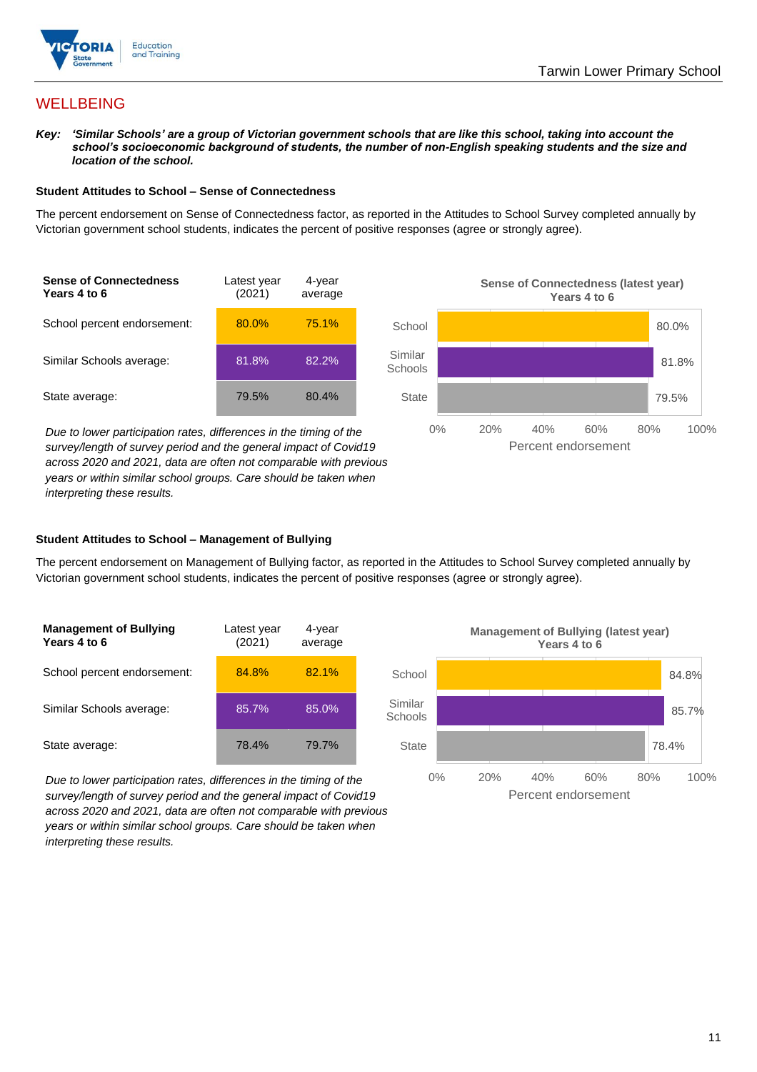

## **WELLBEING**

*Key: 'Similar Schools' are a group of Victorian government schools that are like this school, taking into account the school's socioeconomic background of students, the number of non-English speaking students and the size and location of the school.*

#### **Student Attitudes to School – Sense of Connectedness**

The percent endorsement on Sense of Connectedness factor, as reported in the Attitudes to School Survey completed annually by Victorian government school students, indicates the percent of positive responses (agree or strongly agree).



*Due to lower participation rates, differences in the timing of the survey/length of survey period and the general impact of Covid19 across 2020 and 2021, data are often not comparable with previous years or within similar school groups. Care should be taken when interpreting these results.*



#### **Student Attitudes to School – Management of Bullying**

The percent endorsement on Management of Bullying factor, as reported in the Attitudes to School Survey completed annually by Victorian government school students, indicates the percent of positive responses (agree or strongly agree).

| <b>Management of Bullying</b><br>Years 4 to 6 | Latest year<br>(2021) | 4-year<br>average |  |
|-----------------------------------------------|-----------------------|-------------------|--|
| School percent endorsement:                   | 84.8%                 | 82.1%             |  |
| Similar Schools average:                      | 85.7%                 | 85.0%             |  |
| State average:                                | 78.4%                 | 79.7%             |  |

*Due to lower participation rates, differences in the timing of the survey/length of survey period and the general impact of Covid19 across 2020 and 2021, data are often not comparable with previous years or within similar school groups. Care should be taken when interpreting these results.*

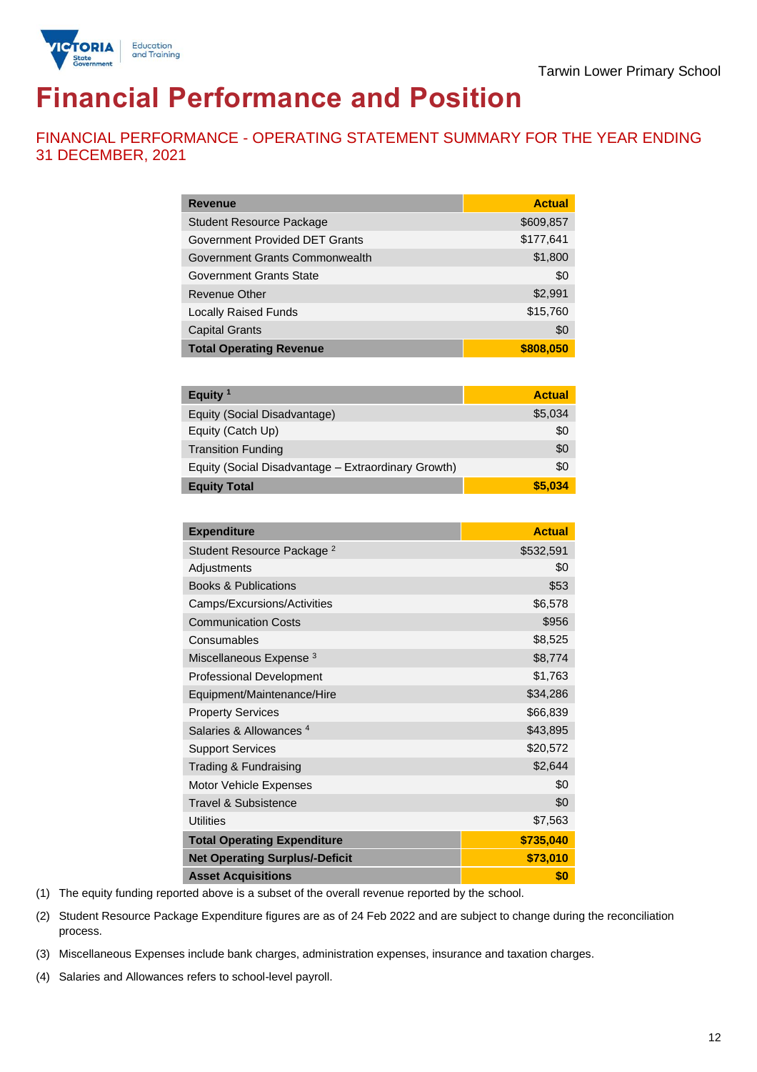

# **Financial Performance and Position**

FINANCIAL PERFORMANCE - OPERATING STATEMENT SUMMARY FOR THE YEAR ENDING 31 DECEMBER, 2021

| <b>Revenue</b>                  | <b>Actual</b> |
|---------------------------------|---------------|
| <b>Student Resource Package</b> | \$609,857     |
| Government Provided DET Grants  | \$177,641     |
| Government Grants Commonwealth  | \$1,800       |
| Government Grants State         | \$0           |
| Revenue Other                   | \$2,991       |
| <b>Locally Raised Funds</b>     | \$15,760      |
| <b>Capital Grants</b>           | \$0           |
| <b>Total Operating Revenue</b>  | \$808,050     |

| Equity $1$                                          | <b>Actual</b> |
|-----------------------------------------------------|---------------|
| Equity (Social Disadvantage)                        | \$5,034       |
| Equity (Catch Up)                                   | \$0           |
| <b>Transition Funding</b>                           | \$0           |
| Equity (Social Disadvantage - Extraordinary Growth) | \$0           |
| <b>Equity Total</b>                                 | \$5,034       |

| <b>Expenditure</b>                    | <b>Actual</b> |
|---------------------------------------|---------------|
| Student Resource Package <sup>2</sup> | \$532,591     |
| Adjustments                           | \$0           |
| <b>Books &amp; Publications</b>       | \$53          |
| Camps/Excursions/Activities           | \$6,578       |
| <b>Communication Costs</b>            | \$956         |
| Consumables                           | \$8,525       |
| Miscellaneous Expense <sup>3</sup>    | \$8,774       |
| <b>Professional Development</b>       | \$1,763       |
| Equipment/Maintenance/Hire            | \$34,286      |
| <b>Property Services</b>              | \$66,839      |
| Salaries & Allowances <sup>4</sup>    | \$43,895      |
| <b>Support Services</b>               | \$20,572      |
| Trading & Fundraising                 | \$2,644       |
| Motor Vehicle Expenses                | \$0           |
| Travel & Subsistence                  | \$0           |
| <b>Utilities</b>                      | \$7,563       |
| <b>Total Operating Expenditure</b>    | \$735,040     |
| <b>Net Operating Surplus/-Deficit</b> | \$73,010      |
| <b>Asset Acquisitions</b>             | \$0           |

(1) The equity funding reported above is a subset of the overall revenue reported by the school.

(2) Student Resource Package Expenditure figures are as of 24 Feb 2022 and are subject to change during the reconciliation process.

(3) Miscellaneous Expenses include bank charges, administration expenses, insurance and taxation charges.

(4) Salaries and Allowances refers to school-level payroll.